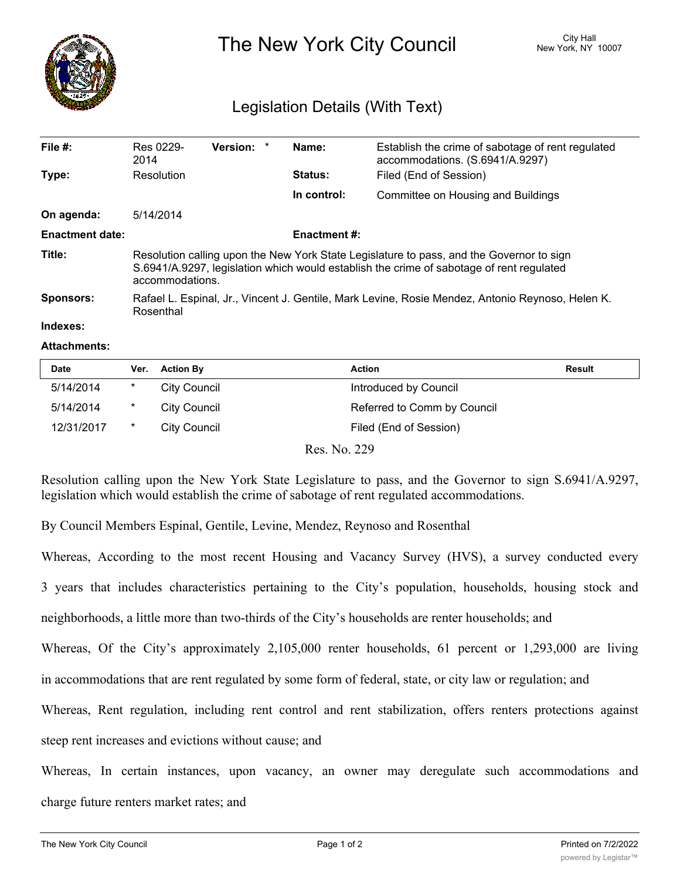

## The New York City Council New York, NY 10007

## Legislation Details (With Text)

| File $#$ :             | Res 0229-<br>2014                                                                                                                                                                                       | <b>Version:</b> |  | Name:       | Establish the crime of sabotage of rent regulated<br>accommodations. (S.6941/A.9297) |  |  |
|------------------------|---------------------------------------------------------------------------------------------------------------------------------------------------------------------------------------------------------|-----------------|--|-------------|--------------------------------------------------------------------------------------|--|--|
| Type:                  | Resolution                                                                                                                                                                                              |                 |  | Status:     | Filed (End of Session)                                                               |  |  |
|                        |                                                                                                                                                                                                         |                 |  | In control: | Committee on Housing and Buildings                                                   |  |  |
| On agenda:             | 5/14/2014                                                                                                                                                                                               |                 |  |             |                                                                                      |  |  |
| <b>Enactment date:</b> | <b>Enactment #:</b>                                                                                                                                                                                     |                 |  |             |                                                                                      |  |  |
| Title:                 | Resolution calling upon the New York State Legislature to pass, and the Governor to sign<br>S.6941/A.9297, legislation which would establish the crime of sabotage of rent regulated<br>accommodations. |                 |  |             |                                                                                      |  |  |
| Sponsors:              | Rafael L. Espinal, Jr., Vincent J. Gentile, Mark Levine, Rosie Mendez, Antonio Reynoso, Helen K.<br>Rosenthal                                                                                           |                 |  |             |                                                                                      |  |  |

## **Indexes:**

## **Attachments:**

| Date       | Ver.   | <b>Action By</b> | <b>Action</b>               | <b>Result</b> |
|------------|--------|------------------|-----------------------------|---------------|
| 5/14/2014  | $\ast$ | City Council     | Introduced by Council       |               |
| 5/14/2014  | $\ast$ | City Council     | Referred to Comm by Council |               |
| 12/31/2017 | $\ast$ | City Council     | Filed (End of Session)      |               |
|            |        |                  | Res. No. 229                |               |

Resolution calling upon the New York State Legislature to pass, and the Governor to sign S.6941/A.9297, legislation which would establish the crime of sabotage of rent regulated accommodations.

By Council Members Espinal, Gentile, Levine, Mendez, Reynoso and Rosenthal

Whereas, According to the most recent Housing and Vacancy Survey (HVS), a survey conducted every

3 years that includes characteristics pertaining to the City's population, households, housing stock and

neighborhoods, a little more than two-thirds of the City's households are renter households; and

Whereas, Of the City's approximately 2,105,000 renter households, 61 percent or 1,293,000 are living

in accommodations that are rent regulated by some form of federal, state, or city law or regulation; and

Whereas, Rent regulation, including rent control and rent stabilization, offers renters protections against

steep rent increases and evictions without cause; and

Whereas, In certain instances, upon vacancy, an owner may deregulate such accommodations and charge future renters market rates; and